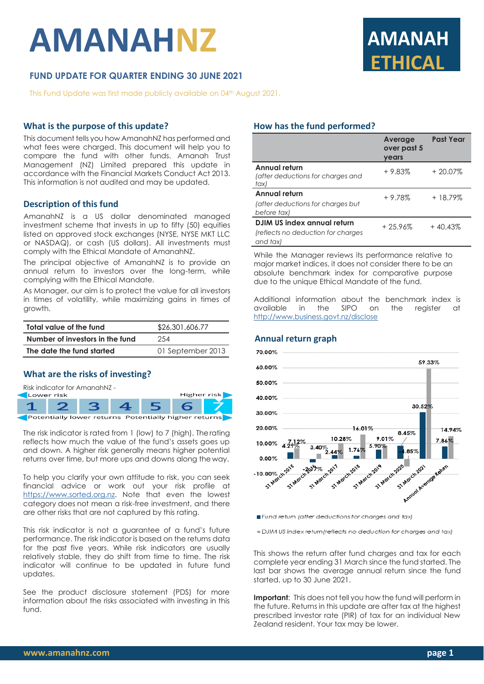# **AMANAHNZ**

## **FUND UPDATE FOR QUARTER ENDING 30 JUNE 2021**

This Fund Update was first made publicly available on 04<sup>th</sup> August 2021.

#### **What is the purpose of this update?**

This document tells you how AmanahNZ has performed and what fees were charged. This document will help you to compare the fund with other funds. Amanah Trust Management (NZ) Limited prepared this update in accordance with the Financial Markets Conduct Act 2013. This information is not audited and may be updated.

#### **Description of this fund**

AmanahNZ is a US dollar denominated managed investment scheme that invests in up to fifty (50) equities listed on approved stock exchanges (NYSE, NYSE MKT LLC or NASDAQ), or cash (US dollars). All investments must comply with the Ethical Mandate of AmanahNZ.

The principal objective of AmanahNZ is to provide an annual return to investors over the long-term, while complying with the Ethical Mandate.

As Manager, our aim is to protect the value for all investors in times of volatility, while maximizing gains in times of growth.

| Total value of the fund         | \$26,301,606.77   |
|---------------------------------|-------------------|
| Number of investors in the fund | 254               |
| The date the fund started       | 01 September 2013 |

### **What are the risks of investing?**



The risk indicator is rated from 1 (low) to 7 (high). Therating reflects how much the value of the fund's assets goes up and down. A higher risk generally means higher potential returns over time, but more ups and downs along the way.

To help you clarify your own attitude to risk, you can seek financial advice or work out your risk profile at [https://www.sorted.org.nz.](https://www.sorted.org.nz/guides/kiwisaver-which-fund-suits) Note that even the lowest category does not mean a risk-free investment, and there are other risks that are not captured by this rating.

This risk indicator is not a guarantee of a fund's future performance. The risk indicator is based on the returns data for the past five years. While risk indicators are usually relatively stable, they do shift from time to time. The risk indicator will continue to be updated in future fund updates.

See the product disclosure statement (PDS) for more information about the risks associated with investing in this fund.

### **How has the fund performed?**

|                                                                               | <b>Average</b><br>over past 5<br>vears | <b>Past Year</b> |
|-------------------------------------------------------------------------------|----------------------------------------|------------------|
| Annual return<br>(after deductions for charges and<br>tax)                    | $+9.83%$                               | $+20.07%$        |
| Annual return<br>(after deductions for charges but<br>before tax)             | $+9.78%$                               | + 18.79%         |
| DJIM US index annual return<br>(reflects no deduction for charges<br>and tax) | $+25.96%$                              | $+40.43%$        |

**ETHICAL**

**AMANAH** 

While the Manager reviews its performance relative to major market indices, it does not consider there to be an absolute benchmark index for comparative purpose due to the unique Ethical Mandate of the fund.

Additional information about the benchmark index is available in the SIPO on the register at <http://www.business.govt.nz/disclose>



Fund return (after deductions for charges and tax)

DJIM US index return (reflects no deduction for charges and tax)

This shows the return after fund charges and tax for each complete year ending 31 March since the fund started. The last bar shows the average annual return since the fund started, up to 30 June 2021.

**Important**: This does not tell you how the fund will perform in the future. Returns in this update are after tax at the highest prescribed investor rate (PIR) of tax for an individual New Zealand resident. Your tax may be lower.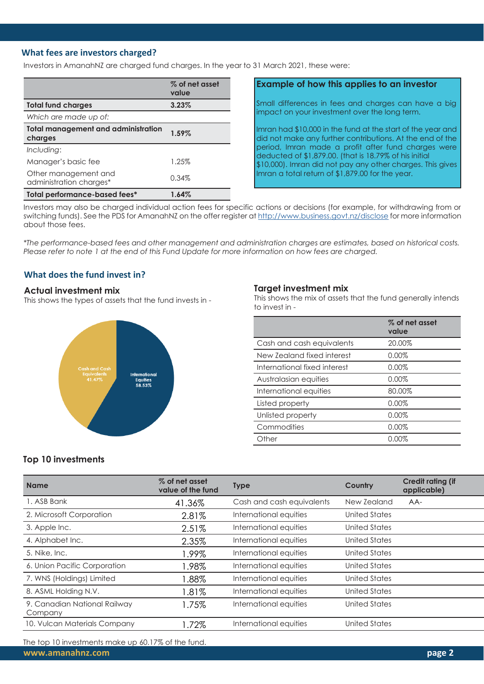#### **What fees are investors charged?**

Investors in AmanahNZ are charged fund charges. In the year to 31 March 2021, these were:

|                                                       | % of net asset<br>value |
|-------------------------------------------------------|-------------------------|
| <b>Total fund charges</b>                             | 3.23%                   |
| Which are made up of:                                 |                         |
| <b>Total management and administration</b><br>charges | 1.59%                   |
| Including:                                            |                         |
| Manager's basic fee                                   | 1.25%                   |
| Other management and<br>administration charges*       | 0.34%                   |
| Total performance-based fees*                         | 1.64%                   |

#### **Example of how this applies to an investor**

Small differences in fees and charges can have a big impact on your investment over the long term.

Imran had \$10,000 in the fund at the start of the year and did not make any further contributions. At the end of the period, Imran made a profit after fund charges were deducted of \$1,879.00. (that is 18.79% of his initial \$10,000). Imran did not pay any other charges. This gives Imran a total return of \$1,879.00 for the year.

Investors may also be charged individual action fees for specific actions or decisions (for example, for withdrawing from or switching funds). See the PDS for AmanahNZ on the offer register at <http://www.business.govt.nz/disclose> for more information about those fees.

*\*The performance-based fees and other management and administration charges are estimates, based on historical costs. Please refer to note 1 at the end of this Fund Update for more information on how fees are charged.*

### **What does the fund invest in?**

#### **Actual investment mix**

This shows the types of assets that the fund invests in -



#### **Target investment mix**

This shows the mix of assets that the fund generally intends to invest in -

|                              | % of net asset<br>value |
|------------------------------|-------------------------|
| Cash and cash equivalents    | 20.00%                  |
| New Zealand fixed interest   | 0.00%                   |
| International fixed interest | 0.00%                   |
| Australasian equities        | 0.00%                   |
| International equities       | 80.00%                  |
| Listed property              | 0.00%                   |
| Unlisted property            | 0.00%                   |
| Commodities                  | 0.00%                   |
| Other                        | $0.00\%$                |

### **Top 10 investments**

| <b>Name</b>                             | % of net asset<br>value of the fund | <b>Type</b>               | Country       | <b>Credit rating (if</b><br>applicable) |
|-----------------------------------------|-------------------------------------|---------------------------|---------------|-----------------------------------------|
| 1. ASB Bank                             | 41.36%                              | Cash and cash equivalents | New Zealand   | AA-                                     |
| 2. Microsoft Corporation                | 2.81%                               | International equities    | United States |                                         |
| 3. Apple Inc.                           | 2.51%                               | International equities    | United States |                                         |
| 4. Alphabet Inc.                        | 2.35%                               | International equities    | United States |                                         |
| 5. Nike, Inc.                           | .99%                                | International equities    | United States |                                         |
| 6. Union Pacific Corporation            | .98%                                | International equities    | United States |                                         |
| 7. WNS (Holdings) Limited               | .88%                                | International equities    | United States |                                         |
| 8. ASML Holding N.V.                    | .81%                                | International equities    | United States |                                         |
| 9. Canadian National Railway<br>Company | .75%                                | International equities    | United States |                                         |
| 10. Vulcan Materials Company            | .72%                                | International equities    | United States |                                         |

The top 10 investments make up 60.17% of the fund.

**[www.amanahnz.com](http://www.amanahnz.com/) page 2**